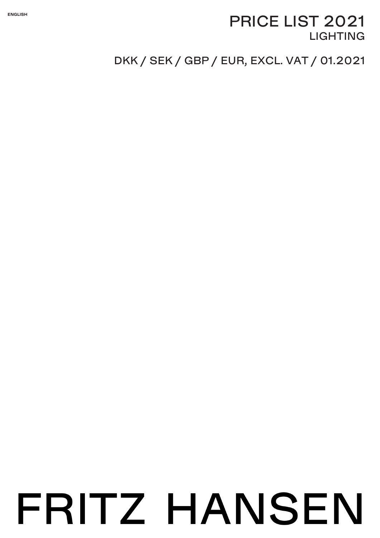### **ENGLISH**

# PRICE LIST 2021 **LIGHTING**

# DKK / SEK / GBP / EUR, EXCL. VAT / 01.2021

# FRITZ HANSEN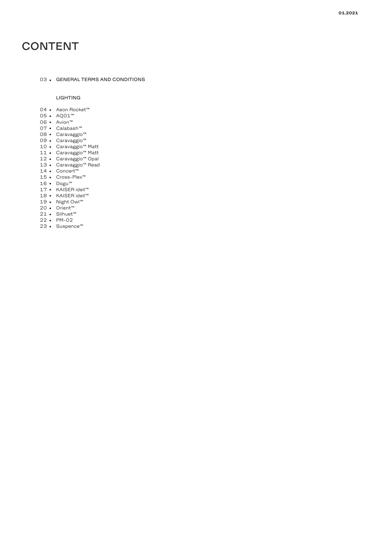# CONTENT

### 03 • GENERAL TERMS AND CONDITIONS

### LIGHTING

- 04 Aeon Rocket™
- 05 AQ01™
- 06 Avion™
- 07 Calabash™
- 08 Caravaggio™
- 09 Caravaggio™
- 10 Caravaggio™ Matt 11 Caravaggio™ Matt
- 
- 12 Caravaggio™ Opal
- 13 Caravaggio™ Read 14 Concert™
- 
- 15 Cross-Plex™
- 
- 16 Dogu™ 17 KAISER idell™
- 18 KAISER idell™
- 19 Night Owl™
- 20 Orient™
- 21 Silhuet™
- 22 PM-02
- 23 Suspence™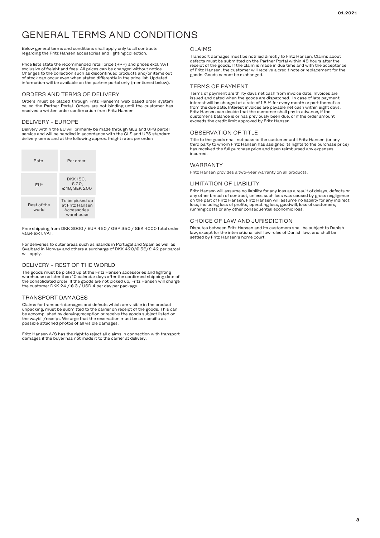# GENERAL TERMS AND CONDITIONS

### Below general terms and conditions shall apply only to all contracts regarding the Fritz Hansen accessories and lighting collection.

Price lists state the recommended retail price (RRP) and prices excl. VAT exclusive of freight and fees. All prices can be changed without notice. Changes to the collection such as discontinued products and/or items out of stock can occur even when stated differently in the price list. Updated information will be available on the partner portal only (mentioned below).

### ORDERS AND TERMS OF DELIVERY

Orders must be placed through Fritz Hansen's web based order system called the Partner Portal. Orders are not binding until the customer has received a written order confirmation from Fritz Hansen.

### DELIVERY - EUROPE

Delivery within the EU will primarily be made through GLS and UPS parcel service and will be handled in accordance with the GLS and UPS standard delivery terms and at the following approx. freight rates per order:

| Rate                 | Per order                                                      |
|----------------------|----------------------------------------------------------------|
| $F1*$                | DKK 150,<br>€ 20,<br>£18, SEK 200                              |
| Rest of the<br>world | To be picked up<br>at Fritz Hansen<br>Accessories<br>warehouse |

Free shipping from DKK 3000 / EUR 450 / GBP 350 / SEK 4000 total order value excl. VAT.

For deliveries to outer areas such as islands in Portugal and Spain as well as Svalbard in Norway and others a surcharge of DKK 420/€ 56/£ 42 per parcel will apply.

### DELIVERY - REST OF THE WORLD

The goods must be picked up at the Fritz Hansen accessories and lighting warehouse no later than 10 calendar days after the confirmed shipping date of the consolidated order. If the goods are not picked up, Fritz Hansen will charge the customer DKK 24 / € 3 / USD 4 per day per package.

### TRANSPORT DAMAGES

Claims for transport damages and defects which are visible in the product unpacking, must be submitted to the carrier on receipt of the goods. This can be accomplished by denying reception or receive the goods subject listed on the waybill/receipt. We urge that the reservation must be as specific as possible attached photos of all visible damages.

Fritz Hansen A/S has the right to reject all claims in connection with transport damages if the buyer has not made it to the carrier at delivery.

### CLAIMS

Transport damages must be notified directly to Fritz Hansen. Claims about defects must be submitted on the Partner Portal within 48 hours after the receipt of the goods. If the claim is made in due time and with the acceptance of Fritz Hansen, the customer will receive a credit note or replacement for the goods. Goods cannot be exchanged.

### TERMS OF PAYMENT

Terms of payment are thirty days net cash from invoice date. Invoices are issued and dated when the goods are dispatched. In case of late payment, interest will be charged at a rate of 1.5 % for every month or part thereof as from the due date. Interest invoices are payable net cash within eight days. Fritz Hansen can decide that the customer shall pay in advance, if the customer's balance is or has previously been due, or if the order amount exceeds the credit limit approved by Fritz Hansen.

### OBSERVATION OF TITLE

Title to the goods shall not pass to the customer until Fritz Hansen (or any third party to whom Fritz Hansen has assigned its rights to the purchase price) has received the full purchase price and been reimbursed any expenses incurred.

### WARRANTY

Fritz Hansen provides a two-year warranty on all products.

### LIMITATION OF LIABILITY

Fritz Hansen will assume no liability for any loss as a result of delays, defects or any other breach of contract, unless such loss was caused by gross negligence on the part of Fritz Hansen. Fritz Hansen will assume no liability for any indirect loss, including loss of profits, operating loss, goodwill, loss of customers, running costs or any other consequential economic loss.

### CHOICE OF LAW AND JURISDICTION

Disputes between Fritz Hansen and its customers shall be subject to Danish law, except for the international civil law rules of Danish law, and shall be settled by Fritz Hansen's home court.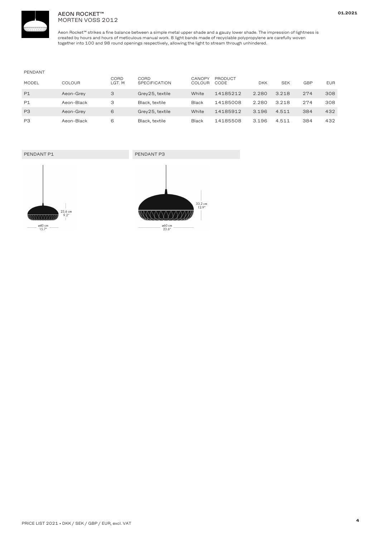

### AEON ROCKET™ MORTEN VOSS 2012

Aeon Rocket™ strikes <sup>a</sup> fine balance between <sup>a</sup> simple metal upper shade and <sup>a</sup> gauzy lower shade. The impression of lightness is created by hours and hours of meticulous manual work. 8light bands made of recyclable polypropylene are carefully woven together into 100 and 98 round openings respectively, allowing the light to stream through unhindered.

### PENDANT

| <b>MODEL</b>   | COLOUR     | CORD<br>LGT. M | CORD<br>SPECIFICATION | CANOPY<br>COLOUR | PRODUCT<br>CODE | <b>DKK</b> | <b>SEK</b> | <b>GBP</b> | <b>EUR</b> |
|----------------|------------|----------------|-----------------------|------------------|-----------------|------------|------------|------------|------------|
| P1             | Aeon-Grey  | 3              | Grey25, textile       | White            | 14185212        | 2.280      | 3.218      | 274        | 308        |
| P1             | Aeon-Black | З              | Black, textile        | <b>Black</b>     | 14185008        | 2.280      | 3.218      | 274        | 308        |
| P <sub>3</sub> | Aeon-Grey  | 6              | Grey25, textile       | White            | 14185912        | 3.196      | 4.511      | 384        | 432        |
| P <sub>3</sub> | Aeon-Black | 6              | Black, textile        | <b>Black</b>     | 14185508        | 3.196      | 4.511      | 384        | 432        |

### PENDANT P1 PENDANT P3





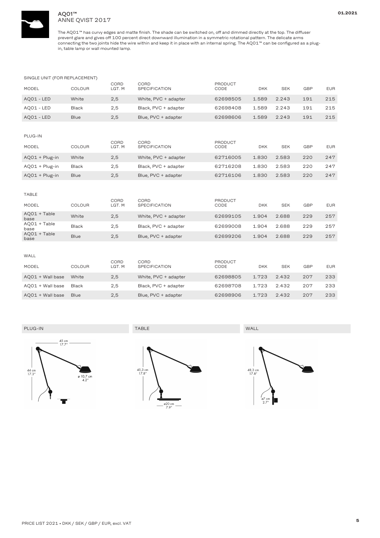

### AQ01™ ANNE QVIST 2017

The AQ01™ has curvy edges and matte finish. The shade can be switched on, off and dimmed directly at the top. The diffuser prevent glare and gives off 100 percent direct downward illumination in <sup>a</sup> symmetric rotational pattern. The delicate arms connecting the two joints hide the wire within and keep it in place with an internal spring. The AQ01™ can be configured as <sup>a</sup> plugin, table lamp or wall mounted lamp.

### SINGLE UNIT (FOR REPLACEMENT)

| <b>MODEL</b> | <b>COLOUR</b> | CORD<br>LGT. M | CORD<br><b>SPECIFICATION</b> | PRODUCT<br>CODE | <b>DKK</b> | <b>SEK</b> | GBP | <b>EUR</b> |
|--------------|---------------|----------------|------------------------------|-----------------|------------|------------|-----|------------|
| AQ01 - LED   | White         | 2,5            | White, PVC + adapter         | 62698505        | 1.589      | 2.243      | 191 | 215        |
| AQ01 - LED   | Black         | 2.5            | Black, PVC + adapter         | 62698408        | 1.589      | 2.243      | 191 | 215        |
| AQ01 - LED   | <b>Blue</b>   | 2,5            | Blue, PVC + adapter          | 62698606        | 1.589      | 2.243      | 191 | 215        |

| PLUG-IN          |              |                |                              |                 |            |            |            |            |
|------------------|--------------|----------------|------------------------------|-----------------|------------|------------|------------|------------|
| <b>MODEL</b>     | COLOUR       | CORD<br>LGT. M | CORD<br><b>SPECIFICATION</b> | PRODUCT<br>CODE | <b>DKK</b> | <b>SEK</b> | <b>GBP</b> | <b>EUR</b> |
| $AQO1 + Plug-in$ | White        | 2,5            | White, PVC + adapter         | 62716005        | 1.830      | 2.583      | 220        | 247        |
| $AQO1 + Plug-in$ | <b>Black</b> | 2,5            | Black, PVC + adapter         | 62716208        | 1.830      | 2.583      | 220        | 247        |
| $AQO1 + Plug-in$ | <b>Blue</b>  | 2,5            | Blue, PVC + adapter          | 62716106        | 1.830      | 2.583      | 220        | 247        |

| <b>TABLE</b>           |               |                |                              |                        |            |            |            |            |
|------------------------|---------------|----------------|------------------------------|------------------------|------------|------------|------------|------------|
| <b>MODEL</b>           | <b>COLOUR</b> | CORD<br>LGT. M | CORD<br><b>SPECIFICATION</b> | <b>PRODUCT</b><br>CODE | <b>DKK</b> | <b>SEK</b> | <b>GBP</b> | <b>EUR</b> |
| AQ01 + Table<br>base   | White         | 2,5            | White, PVC + adapter         | 62699105               | 1.904      | 2.688      | 229        | 257        |
| AQ01 + Table<br>base   | <b>Black</b>  | 2,5            | Black, PVC + adapter         | 62699008               | 1.904      | 2.688      | 229        | 257        |
| $AQO1 + Table$<br>base | <b>Blue</b>   | 2,5            | Blue, PVC + adapter          | 62699206               | 1.904      | 2.688      | 229        | 257        |
|                        |               |                |                              |                        |            |            |            |            |

| WALL             |               |                |                              |                 |            |            |            |            |
|------------------|---------------|----------------|------------------------------|-----------------|------------|------------|------------|------------|
| <b>MODEL</b>     | <b>COLOUR</b> | CORD<br>LGT. M | CORD<br><b>SPECIFICATION</b> | PRODUCT<br>CODE | <b>DKK</b> | <b>SEK</b> | <b>GBP</b> | <b>EUR</b> |
| AQ01 + Wall base | White         | 2,5            | White, PVC + adapter         | 62698805        | 1.723      | 2.432      | 207        | 233        |
| AQ01 + Wall base | Black         | 2,5            | Black, PVC + adapter         | 62698708        | 1.723      | 2.432      | 207        | 233        |
| AQ01 + Wall base | <b>Blue</b>   | 2,5            | Blue, PVC + adapter          | 62698906        | 1.723      | 2.432      | 207        | 233        |



PLUG-IN TABLE WALL



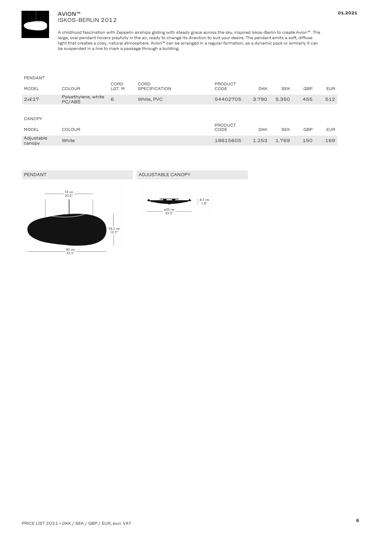

### AVION™ ISKOS-BERLIN 2012

A childhood fascination with Zeppelin airships gliding with steady grace across the sky, inspired Iskos-Berlin to create Avion™. The large, oval pendant hovers playfully in the air, ready to change its direction to suit your desire. The pendant emits <sup>a</sup> soft, diffuse light that creates <sup>a</sup> cosy, natural atmosphere. Avion™ can be arranged in <sup>a</sup> regular formation, as <sup>a</sup> dynamic pack or similarly it can be suspended in <sup>a</sup> line to mark <sup>a</sup> passage through <sup>a</sup> building.

| PENDANT              |                               |                |                              |                        |            |            |            |            |
|----------------------|-------------------------------|----------------|------------------------------|------------------------|------------|------------|------------|------------|
| <b>MODEL</b>         | <b>COLOUR</b>                 | CORD<br>LGT. M | CORD<br><b>SPECIFICATION</b> | <b>PRODUCT</b><br>CODE | <b>DKK</b> | <b>SEK</b> | <b>GBP</b> | <b>EUR</b> |
| 2xE27                | Polyethylene, white<br>PC/ABS | 6              | White, PVC                   | 54402705               | 3.790      | 5.350      | 455        | 512        |
|                      |                               |                |                              |                        |            |            |            |            |
| <b>CANOPY</b>        |                               |                |                              |                        |            |            |            |            |
| <b>MODEL</b>         | <b>COLOUR</b>                 |                |                              | <b>PRODUCT</b><br>CODE | <b>DKK</b> | <b>SEK</b> | <b>GBP</b> | <b>EUR</b> |
| Adjustable<br>canopy | White                         |                |                              | 18615605               | 1.253      | 1.769      | 150        | 169        |

PENDANT ADJUSTABLE CANOPY



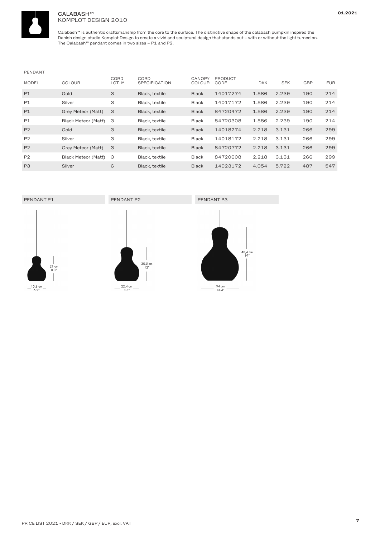

### CALABASH™ KOMPLOT DESIGN 2010

Calabash™ is authentic craftsmanship from the core to the surface. The distinctive shape of the calabash pumpkin inspired the Danish design studio Komplot Design to create <sup>a</sup> vivid and sculptural design that stands out – with or without the light turned on. The Calabash™ pendant comes in two sizes – P1 and P2.

### PENDANT

| <b>MODEL</b>   | <b>COLOUR</b>       | CORD<br>LGT. M | CORD<br><b>SPECIFICATION</b> | <b>CANOPY</b><br><b>COLOUR</b> | PRODUCT<br>CODE | <b>DKK</b> | <b>SEK</b> | GBP | <b>EUR</b> |
|----------------|---------------------|----------------|------------------------------|--------------------------------|-----------------|------------|------------|-----|------------|
| P1             | Gold                | 3              | Black, textile               | <b>Black</b>                   | 14017274        | 1.586      | 2.239      | 190 | 214        |
| P1             | Silver              | 3              | Black, textile               | <b>Black</b>                   | 14017172        | 1.586      | 2.239      | 190 | 214        |
| P1             | Grey Meteor (Matt)  | 3              | Black, textile               | <b>Black</b>                   | 84720472        | 1.586      | 2.239      | 190 | 214        |
| <b>P1</b>      | Black Meteor (Matt) | 3              | Black, textile               | <b>Black</b>                   | 84720308        | 1.586      | 2.239      | 190 | 214        |
| P <sub>2</sub> | Gold                | 3              | Black, textile               | <b>Black</b>                   | 14018274        | 2.218      | 3.131      | 266 | 299        |
| P <sub>2</sub> | Silver              | 3              | Black, textile               | Black                          | 14018172        | 2.218      | 3.131      | 266 | 299        |
| P <sub>2</sub> | Grey Meteor (Matt)  | 3              | Black, textile               | <b>Black</b>                   | 84720772        | 2.218      | 3.131      | 266 | 299        |
| P <sub>2</sub> | Black Meteor (Matt) | З              | Black, textile               | Black                          | 84720608        | 2.218      | 3.131      | 266 | 299        |
| P <sub>3</sub> | Silver              | 6              | Black, textile               | <b>Black</b>                   | 14023172        | 4.054      | 5.722      | 487 | 547        |

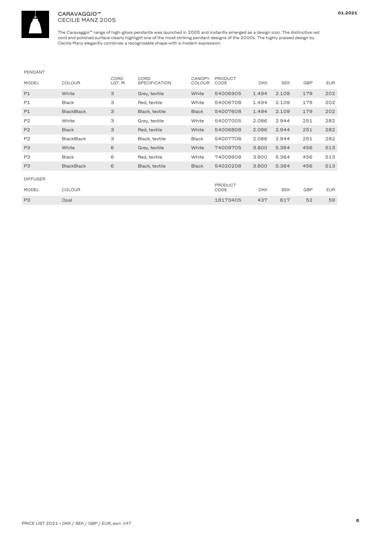

### CARAVAGGIO™ CECILIE MANZ 2005

The Caravaggio™ range of high-gloss pendants was launched in 2005 and instantly emerged as <sup>a</sup> design icon. The distinctive red cord and polished surface clearly highlight one of the most striking pendant designs of the 2000s. The highly praised design by Cecilie Manz elegantly combines <sup>a</sup> recognisable shape with <sup>a</sup> modern expression.

### PENDANT

| <b>MODEL</b>    | <b>COLOUR</b>     | CORD<br>LGT. M | CORD<br><b>SPECIFICATION</b> | <b>CANOPY</b><br><b>COLOUR</b> | <b>PRODUCT</b><br>CODE | <b>DKK</b> | <b>SEK</b> | <b>GBP</b> | <b>EUR</b> |
|-----------------|-------------------|----------------|------------------------------|--------------------------------|------------------------|------------|------------|------------|------------|
| P1              | White             | 3              | Grey, textile                | White                          | 54006905               | 1.494      | 2.109      | 179        | 202        |
| P1              | <b>Black</b>      | 3              | Red, textile                 | White                          | 54006708               | 1.494      | 2.109      | 179        | 202        |
| P1              | <b>BlackBlack</b> | 3              | Black, textile               | <b>Black</b>                   | 54007608               | 1.494      | 2.109      | 179        | 202        |
| P <sub>2</sub>  | White             | 3              | Grey, textile                | White                          | 54007005               | 2.086      | 2.944      | 251        | 282        |
| P2              | <b>Black</b>      | 3              | Red, textile                 | White                          | 54006808               | 2.086      | 2.944      | 251        | 282        |
| P <sub>2</sub>  | <b>BlackBlack</b> | 3              | Black, textile               | Black                          | 54007708               | 2.086      | 2.944      | 251        | 282        |
| P <sub>3</sub>  | White             | 6              | Grey, textile                | White                          | 74009705               | 3.800      | 5.364      | 456        | 513        |
| P <sub>3</sub>  | <b>Black</b>      | 6              | Red, textile                 | White                          | 74009608               | 3.800      | 5.364      | 456        | 513        |
| P <sub>3</sub>  | <b>BlackBlack</b> | 6              | Black, textile               | <b>Black</b>                   | 54020208               | 3.800      | 5.364      | 456        | 513        |
| <b>DIFFUSER</b> |                   |                |                              |                                | <b>PRODUCT</b>         |            |            |            |            |
| <b>MODEL</b>    | <b>COLOUR</b>     |                |                              |                                | CODE                   | <b>DKK</b> | <b>SEK</b> | <b>GBP</b> | <b>EUR</b> |
| P <sub>3</sub>  | Opal              |                |                              |                                | 18173405               | 437        | 617        | 52         | 59         |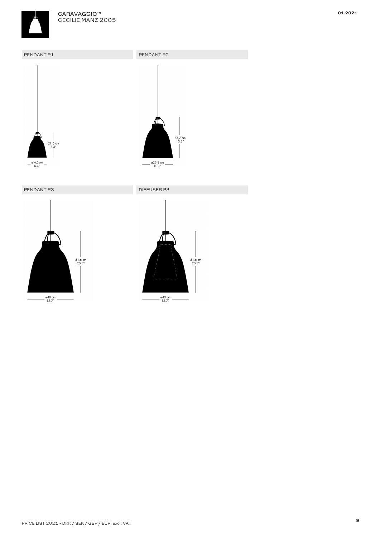





PENDANT P3 DIFFUSER P3





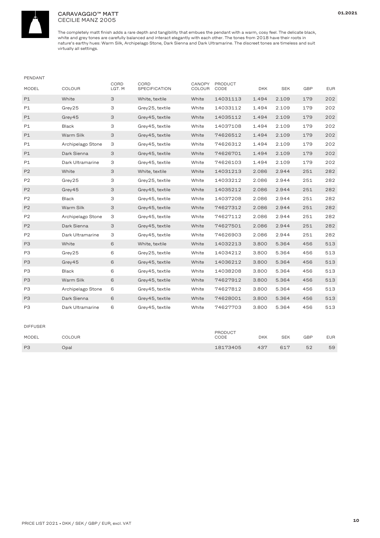

### CARAVAGGIO™ MATT CECILIE MANZ 2005

| PENDANT        |                   |                |                       |                  |                        |            |            |     |            |
|----------------|-------------------|----------------|-----------------------|------------------|------------------------|------------|------------|-----|------------|
| MODEL          | COLOUR            | CORD<br>LGT. M | CORD<br>SPECIFICATION | CANOPY<br>COLOUR | <b>PRODUCT</b><br>CODE | <b>DKK</b> | <b>SEK</b> | GBP | <b>EUR</b> |
| P1             | White             | 3              | White, textile        | White            | 14031113               | 1.494      | 2.109      | 179 | 202        |
| P1             | Grey25            | 3              | Grey25, textile       | White            | 14033112               | 1.494      | 2.109      | 179 | 202        |
| P1             | Grey45            | 3              | Grey45, textile       | White            | 14035112               | 1.494      | 2.109      | 179 | 202        |
| P1             | <b>Black</b>      | 3              | Grey45, textile       | White            | 14037108               | 1.494      | 2.109      | 179 | 202        |
| P1             | Warm Silk         | 3              | Grey45, textile       | White            | 74626512               | 1.494      | 2.109      | 179 | 202        |
| P1             | Archipelago Stone | З              | Grey 45, textile      | White            | 74626312               | 1.494      | 2.109      | 179 | 202        |
| P1             | Dark Sienna       | 3              | Grey45, textile       | White            | 74626701               | 1.494      | 2.109      | 179 | 202        |
| P1             | Dark Ultramarine  | З              | Grey45, textile       | White            | 74626103               | 1.494      | 2.109      | 179 | 202        |
| P2             | White             | 3              | White, textile        | White            | 14031213               | 2.086      | 2.944      | 251 | 282        |
| P <sub>2</sub> | Grey25            | З              | Grey25, textile       | White            | 14033212               | 2.086      | 2.944      | 251 | 282        |
| P2             | Grey45            | 3              | Grey45, textile       | White            | 14035212               | 2.086      | 2.944      | 251 | 282        |
| P <sub>2</sub> | <b>Black</b>      | 3              | Grey45, textile       | White            | 14037208               | 2.086      | 2.944      | 251 | 282        |
| P <sub>2</sub> | Warm Silk         | 3              | Grey45, textile       | White            | 74627312               | 2.086      | 2.944      | 251 | 282        |
| P <sub>2</sub> | Archipelago Stone | 3              | Grey45, textile       | White            | 74627112               | 2.086      | 2.944      | 251 | 282        |
| P2             | Dark Sienna       | 3              | Grey45, textile       | White            | 74627501               | 2.086      | 2.944      | 251 | 282        |
| P <sub>2</sub> | Dark Ultramarine  | 3              | Grey45, textile       | White            | 74626903               | 2.086      | 2.944      | 251 | 282        |
| P <sub>3</sub> | White             | 6              | White, textile        | White            | 14032213               | 3.800      | 5.364      | 456 | 513        |
| P3             | Grey25            | 6              | Grey25, textile       | White            | 14034212               | 3.800      | 5.364      | 456 | 513        |
| P <sub>3</sub> | Grey45            | 6              | Grey45, textile       | White            | 14036212               | 3.800      | 5.364      | 456 | 513        |
| P3             | <b>Black</b>      | 6              | Grey45, textile       | White            | 14038208               | 3.800      | 5.364      | 456 | 513        |
| P <sub>3</sub> | Warm Silk         | 6              | Grey45, textile       | White            | 74627912               | 3.800      | 5.364      | 456 | 513        |
| P <sub>3</sub> | Archipelago Stone | 6              | Grey45, textile       | White            | 74627812               | 3.800      | 5.364      | 456 | 513        |
| P <sub>3</sub> | Dark Sienna       | 6              | Grey45, textile       | White            | 74628001               | 3.800      | 5.364      | 456 | 513        |
| P <sub>3</sub> | Dark Ultramarine  | 6              | Grey45, textile       | White            | 74627703               | 3.800      | 5.364      | 456 | 513        |
|                |                   |                |                       |                  |                        |            |            |     |            |

| <b>DIFFUSER</b> |               |                 |            |            |     |            |
|-----------------|---------------|-----------------|------------|------------|-----|------------|
| MODEL           | <b>COLOUR</b> | PRODUCT<br>CODE | <b>DKK</b> | <b>SEK</b> | GBP | <b>EUR</b> |
| P <sub>3</sub>  | Opal          | 18173405        | 437        | 617        | 52  | 59         |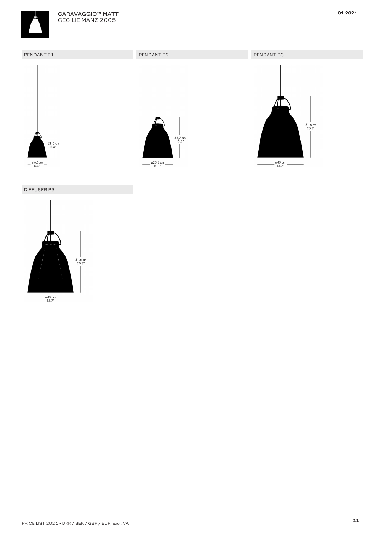





### DIFFUSER P3

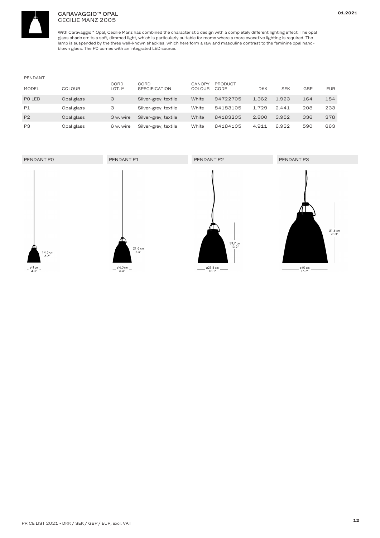

### CARAVAGGIO™ OPAL CECILIE MANZ 2005

With Caravaggio™ Opal, Cecilie Manz has combined the characteristic design with <sup>a</sup> completely different lighting effect. The opal glass shade emits <sup>a</sup> soft, dimmed light, which is particularly suitable for rooms where <sup>a</sup> more evocative lighting is required. The lamp is suspended by the three well-known shackles, which here form <sup>a</sup> raw and masculine contrast to the feminine opal handblown glass. The P0 comes with an integrated LED source.

| PENDANT        |               |                |                              |                  |                 |            |            |     |            |
|----------------|---------------|----------------|------------------------------|------------------|-----------------|------------|------------|-----|------------|
| <b>MODEL</b>   | <b>COLOUR</b> | CORD<br>LGT. M | CORD<br><b>SPECIFICATION</b> | CANOPY<br>COLOUR | PRODUCT<br>CODE | <b>DKK</b> | <b>SEK</b> | GBP | <b>EUR</b> |
| PO LED         | Opal glass    | З              | Silver-grey, textile         | White            | 94722705        | 1.362      | 1.923      | 164 | 184        |
| P1             | Opal glass    | З              | Silver-grey, textile         | White            | 84183105        | 1.729      | 2.441      | 208 | 233        |
| P <sub>2</sub> | Opal glass    | 3 w. wire      | Silver-grey, textile         | White            | 84183205        | 2.800      | 3.952      | 336 | 378        |
| P <sub>3</sub> | Opal glass    | 6 w. wire      | Silver-grey, textile         | White            | 84184105        | 4.911      | 6.932      | 590 | 663        |

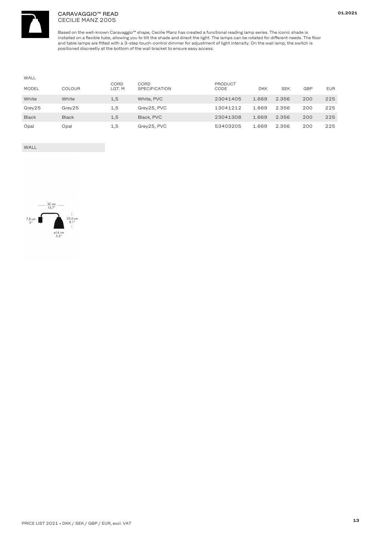

### CARAVAGGIO™ READ CECILIE MANZ 2005

Based on the well-known Caravaggio™ shape, Cecilie Manz has created <sup>a</sup> functional reading lamp series. The iconic shade is installed on <sup>a</sup> flexible tube, allowing you to tilt the shade and direct the light. The lamps can be rotated for different needs. The floor and table lamps are fitted with <sup>a</sup> 3-step touch-control dimmer for adjustment of light intensity. On the wall lamp, the switch is positioned discreetly at the bottom of the wall bracket to ensure easy access.

| WALL         |               |                |                              |                 |            |            |            |            |
|--------------|---------------|----------------|------------------------------|-----------------|------------|------------|------------|------------|
| <b>MODEL</b> | <b>COLOUR</b> | CORD<br>LGT. M | CORD<br><b>SPECIFICATION</b> | PRODUCT<br>CODE | <b>DKK</b> | <b>SEK</b> | <b>GBP</b> | <b>EUR</b> |
| White        | White         | 1,5            | White, PVC                   | 23041405        | 1.669      | 2.356      | 200        | 225        |
| Grey25       | Grev25        | 1,5            | Grey25, PVC                  | 13041212        | 1.669      | 2.356      | 200        | 225        |
| <b>Black</b> | <b>Black</b>  | 1,5            | Black, PVC                   | 23041308        | 1.669      | 2.356      | 200        | 225        |
| Opal         | Opal          | 1,5            | Grey25, PVC                  | 53403205        | 1.669      | 2.356      | 200        | 225        |

WALL

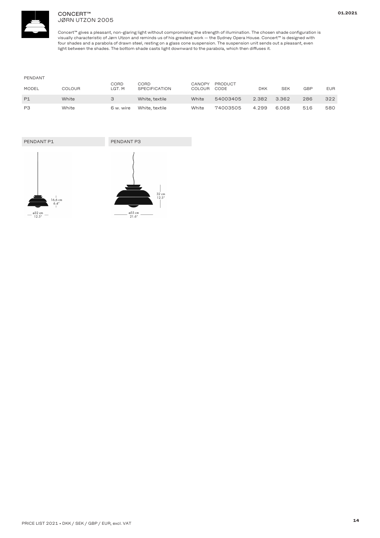

### CONCERT™ JØRN UTZON 2005

Concert™ gives <sup>a</sup> pleasant, non-glaring light without compromising the strength of illumination. The chosen shade configuration is visually characteristic of Jørn Utzon and reminds us of his greatest work — the Sydney Opera House. Concert™ is designed with four shades and <sup>a</sup> parabola of drawn steel, resting on <sup>a</sup> glass cone suspension. The suspension unit sends out <sup>a</sup> pleasant, even light between the shades. The bottom shade casts light downward to the parabola, which then diffuses it.

| PENDANT      |        |                |                              |                         |                 |            |            |            |            |
|--------------|--------|----------------|------------------------------|-------------------------|-----------------|------------|------------|------------|------------|
| <b>MODEL</b> | COLOUR | CORD<br>LGT. M | CORD<br><b>SPECIFICATION</b> | CANOPY<br><b>COLOUR</b> | PRODUCT<br>CODE | <b>DKK</b> | <b>SEK</b> | <b>GBP</b> | <b>EUR</b> |
| P1           | White  |                | White, textile               | White                   | 54003405        | 2.382      | 3.362      | 286        | 322        |
| P3           | White  | 6 w. wire      | White, textile               | White                   | 74003505        | 4.299      | 6.068      | 516        | 580        |

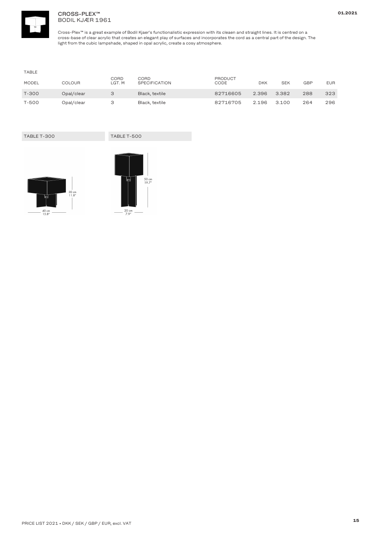

### CROSS-PLEX™ BODIL KJÆR 1961

Cross-Plex™ is <sup>a</sup> great example of Bodil Kjaer's functionalistic expression with its cleaen and straight lines. It is centred on <sup>a</sup> cross-base of clear acrylic that creates an elegant play of surfaces and incorporates the cord as <sup>a</sup> central part of the design. The light from the cubic lampshade, shaped in opal acrylic, create <sup>a</sup> cosy atmosphere.

| TABLE        |            |                |                              |                 |            |            |            |            |
|--------------|------------|----------------|------------------------------|-----------------|------------|------------|------------|------------|
| <b>MODEL</b> | COLOUR     | CORD<br>LGT. M | CORD<br><b>SPECIFICATION</b> | PRODUCT<br>CODE | <b>DKK</b> | <b>SEK</b> | <b>GBP</b> | <b>EUR</b> |
| T-300        | Opal/clear |                | Black, textile               | 82716605        | 2.396      | 3.382      | 288        | 323        |
| T-500        | Opal/clear |                | Black, textile               | 82716705        | 2.196      | 3.100      | 264        | 296        |

TABLE T-500



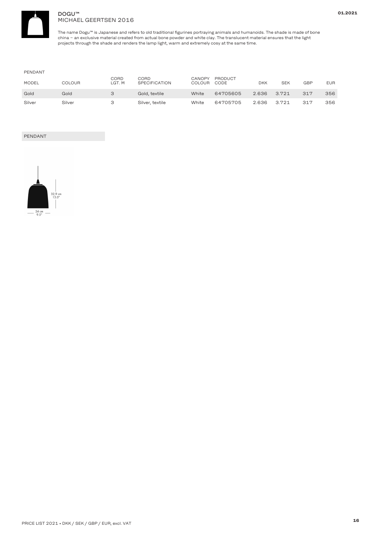

### DOGU™ MICHAEL GEERTSEN 2016

The name Dogu™ is Japanese and refers to old traditional figurines portraying animals and humanoids. The shade is made of bone china <sup>−</sup> an exclusive material created from actual bone powder and white clay. The translucent material ensures that the light projects through the shade and renders the lamp light, warm and extremely cosy at the same time.

### PENDANT

| <b>MODEL</b> | COLOUR | CORD<br>LGT. M | CORD<br><b>SPECIFICATION</b> | CANOPY<br>COLOUR | PRODUCT<br>CODE | <b>DKK</b> | <b>SEK</b> | GBP | <b>EUR</b> |
|--------------|--------|----------------|------------------------------|------------------|-----------------|------------|------------|-----|------------|
| Gold         | Gold   |                | Gold, textile                | White            | 64705605        | 2.636      | 3.721      | 317 | 356        |
| Silver       | Silver |                | Silver, textile              | White            | 64705705        | 2.636      | 3.721      | 317 | 356        |

### PENDANT

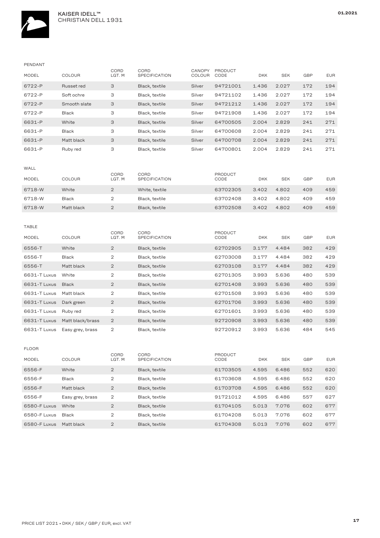

| PENDANT      |                  |                |                              |                  |                        |            |            |            |            |
|--------------|------------------|----------------|------------------------------|------------------|------------------------|------------|------------|------------|------------|
| MODEL        | COLOUR           | CORD<br>LGT. M | <b>CORD</b><br>SPECIFICATION | CANOPY<br>COLOUR | <b>PRODUCT</b><br>CODE | <b>DKK</b> | <b>SEK</b> | GBP        | <b>EUR</b> |
| 6722-P       | Russet red       | З              | Black, textile               | Silver           | 94721001               | 1.436      | 2.027      | 172        | 194        |
| 6722-P       | Soft ochre       | З              | Black, textile               | Silver           | 94721102               | 1.436      | 2.027      | 172        | 194        |
| 6722-P       | Smooth slate     | З              | Black, textile               | Silver           | 94721212               | 1.436      | 2.027      | 172        | 194        |
| 6722-P       | Black            | З              | Black, textile               | Silver           | 94721908               | 1.436      | 2.027      | 172        | 194        |
| 6631-P       | White            | 3              | Black, textile               | Silver           | 64700505               | 2.004      | 2.829      | 241        | 271        |
| 6631-P       | Black            | З              | Black, textile               | Silver           | 64700608               | 2.004      | 2.829      | 241        | 271        |
| 6631-P       | Matt black       | З              | Black, textile               | Silver           | 64700708               | 2.004      | 2.829      | 241        | 271        |
| 6631-P       | Ruby red         | З              | Black, textile               | Silver           | 64700801               | 2.004      | 2.829      | 241        | 271        |
| WALL         |                  | CORD           | CORD                         |                  | <b>PRODUCT</b>         |            |            |            |            |
| MODEL        | COLOUR           | LGT. M         | <b>SPECIFICATION</b>         |                  | CODE                   | <b>DKK</b> | <b>SEK</b> | <b>GBP</b> | <b>EUR</b> |
| 6718-W       | White            | $\mathbf{2}$   | White, textile               |                  | 63702305               | 3.402      | 4.802      | 409        | 459        |
| 6718-W       | <b>Black</b>     | 2              | Black, textile               |                  | 63702408               | 3.402      | 4.802      | 409        | 459        |
| 6718-W       | Matt black       | $\mathbf{2}$   | Black, textile               |                  | 63702508               | 3.402      | 4.802      | 409        | 459        |
| TABLE        |                  | CORD           | CORD                         |                  | PRODUCT                |            |            |            |            |
| MODEL        | <b>COLOUR</b>    | LGT. M         | <b>SPECIFICATION</b>         |                  | CODE                   | <b>DKK</b> | <b>SEK</b> | <b>GBP</b> | <b>EUR</b> |
| 6556-T       | White            | $\mathbf{2}$   | Black, textile               |                  | 62702905               | 3.177      | 4.484      | 382        | 429        |
| 6556-T       | Black            | $\mathbf{2}$   | Black, textile               |                  | 62703008               | 3.177      | 4.484      | 382        | 429        |
| 6556-T       | Matt black       | $\overline{2}$ | Black, textile               |                  | 62703108               | 3.177      | 4.484      | 382        | 429        |
| 6631-T Luxus | White            | 2              | Black, textile               |                  | 62701305               | 3.993      | 5.636      | 480        | 539        |
| 6631-T Luxus | <b>Black</b>     | $\mathbf{2}$   | Black, textile               |                  | 62701408               | 3.993      | 5.636      | 480        | 539        |
| 6631-T Luxus | Matt black       | $\mathbf{2}$   | Black, textile               |                  | 62701508               | 3.993      | 5.636      | 480        | 539        |
| 6631-T Luxus | Dark green       | $\mathbf{2}$   | Black, textile               |                  | 62701706               | 3.993      | 5.636      | 480        | 539        |
| 6631-T Luxus | Ruby red         | 2              | Black, textile               |                  | 62701601               | 3.993      | 5.636      | 480        | 539        |
| 6631-T Luxus | Matt black/brass | $\mathbf{2}$   | Black, textile               |                  | 92720908               | 3.993      | 5.636      | 480        | 539        |
| 6631-T Luxus | Easy grey, brass | 2              | Black, textile               |                  | 92720912               | 3.993      | 5.636      | 484        | 545        |
| <b>FLOOR</b> |                  |                |                              |                  |                        |            |            |            |            |
| MODEL        | COLOUR           | CORD<br>LGT. M | CORD<br>SPECIFICATION        |                  | <b>PRODUCT</b><br>CODE | DKK        | SEK        | GBP        | <b>EUR</b> |
| 6556-F       | White            | $\mathbf{2}$   | Black, textile               |                  | 61703505               | 4.595      | 6.486      | 552        | 620        |
| 6556-F       | <b>Black</b>     | 2              | Black, textile               |                  | 61703608               | 4.595      | 6.486      | 552        | 620        |
| 6556-F       | Matt black       | $\overline{2}$ | Black, textile               |                  | 61703708               | 4.595      | 6.486      | 552        | 620        |
| 6556-F       | Easy grey, brass | 2              | Black, textile               |                  | 91721012               | 4.595      | 6.486      | 557        | 627        |
| 6580-F Luxus | White            | $\mathbf{2}$   | Black, textile               |                  | 61704105               | 5.013      | 7.076      | 602        | 677        |
| 6580-F Luxus | Black            | 2              | Black, textile               |                  | 61704208               | 5.013      | 7.076      | 602        | 677        |
| 6580-F Luxus | Matt black       | $\mathbf{2}$   | Black, textile               |                  | 61704308               | 5.013      | 7.076      | 602        | 677        |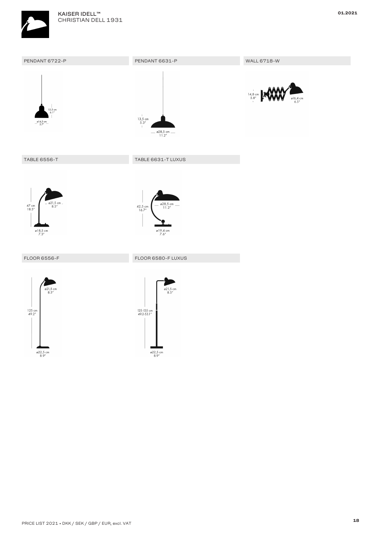

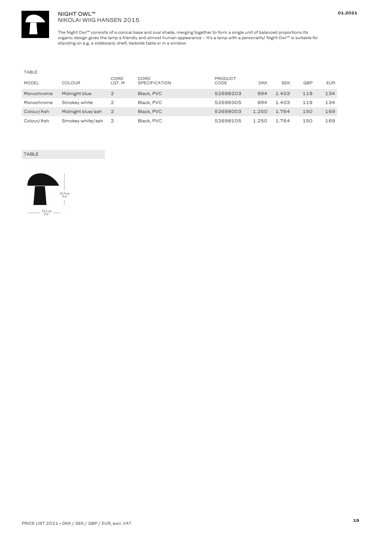

### NIGHT OWL™ NIKOLAI WIIG HANSEN 2015

The Night Owl™ consists of <sup>a</sup> conical base and oval shade, merging together to form <sup>a</sup> single unit of balanced proportions.Its organic design gives the lamp <sup>a</sup> friendly and almost human appearance – it's <sup>a</sup> lamp with <sup>a</sup> personality! Night Owl™ is suitable for standing on e.g. <sup>a</sup> sideboard, shelf, bedside table or in <sup>a</sup> window.

### TABLE

| <b>MODEL</b> | <b>COLOUR</b>     | CORD<br>LGT. M | CORD<br><b>SPECIFICATION</b> | <b>PRODUCT</b><br>CODE | <b>DKK</b> | <b>SEK</b> | <b>GBP</b> | <b>EUR</b> |
|--------------|-------------------|----------------|------------------------------|------------------------|------------|------------|------------|------------|
| Monochrome   | Midnight blue     | $\overline{2}$ | Black, PVC                   | 52698203               | 994        | 1.403      | 119        | 134        |
| Monochrome   | Smokey white      | 2              | Black, PVC                   | 52698305               | 994        | 1.403      | 119        | 134        |
| Colour/Ash   | Midnight blue/ash |                | Black, PVC                   | 52698003               | 1.250      | 1.764      | 150        | 169        |
| Colour/Ash   | Smokey white/ash  |                | Black, PVC                   | 52698105               | 1.250      | 1.764      | 150        | 169        |

## TABLE

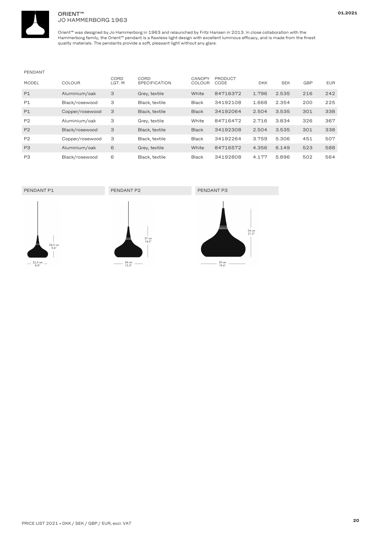

### ORIENT™ JO HAMMERBORG 1963

Orient™ was designed by Jo Hammerborg in 1963 and relaunched by Fritz Hansen in 2013. In close collaboration with the Hammerborg family, the Orient™ pendant is <sup>a</sup> flawless light design with excellent luminous efficacy, and is made from the finest quality materials. The pendants provide <sup>a</sup> soft, pleasant light without any glare.

### PENDANT

| <b>MODEL</b>   | <b>COLOUR</b>   | CORD<br>LGT. M | CORD<br><b>SPECIFICATION</b> | <b>CANOPY</b><br><b>COLOUR</b> | PRODUCT<br>CODE | <b>DKK</b> | <b>SEK</b> | <b>GBP</b> | <b>EUR</b> |
|----------------|-----------------|----------------|------------------------------|--------------------------------|-----------------|------------|------------|------------|------------|
| P1             | Aluminium/oak   | 3              | Grey, textile                | White                          | 84716372        | 1.796      | 2.535      | 216        | 242        |
| P1             | Black/rosewood  | З              | Black, textile               | <b>Black</b>                   | 34192108        | 1.668      | 2.354      | 200        | 225        |
| P1             | Copper/rosewood | 3              | Black, textile               | <b>Black</b>                   | 34192064        | 2.504      | 3.535      | 301        | 338        |
| P <sub>2</sub> | Aluminium/oak   | З              | Grey, textile                | White                          | 84716472        | 2.716      | 3.834      | 326        | 367        |
| P <sub>2</sub> | Black/rosewood  | 3              | Black, textile               | <b>Black</b>                   | 34192308        | 2.504      | 3.535      | 301        | 338        |
| P <sub>2</sub> | Copper/rosewood | З              | Black, textile               | <b>Black</b>                   | 34192264        | 3.759      | 5.306      | 451        | 507        |
| P <sub>3</sub> | Aluminium/oak   | 6              | Grey, textile                | White                          | 84716572        | 4.356      | 6.149      | 523        | 588        |
| P <sub>3</sub> | Black/rosewood  | 6              | Black, textile               | <b>Black</b>                   | 34192808        | 4.177      | 5.896      | 502        | 564        |



**01.2021**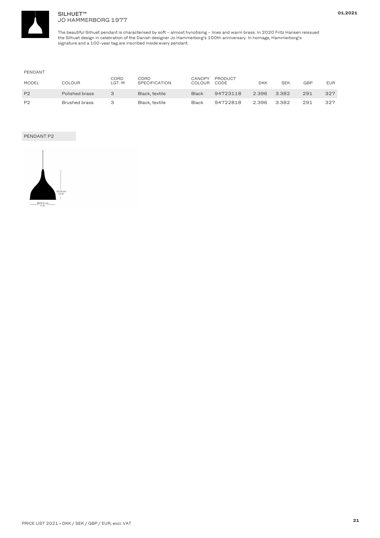

### SILHUET™ JO HAMMERBORG 1977

The beautiful Silhuet pendant is characterised by soft – almost hynotising – lines and warm brass. In 2020 Fritz Hansen reissued the Silhuet design in celebration of the Danish designer Jo Hammerborg's 100th anniversary. In homage, Hammerborg's signature and <sup>a</sup> 100-year tag are inscribed inside every pendant.

### PENDANT

| <b>MODEL</b>   | COLOUR         | <b>CORD</b><br>LGT. M | CORD<br>SPECIFICATION | CANOPY<br>COLOUR | PRODUCT<br>CODE | DKK   | SEK   | GBP | <b>EUR</b> |
|----------------|----------------|-----------------------|-----------------------|------------------|-----------------|-------|-------|-----|------------|
| P <sub>2</sub> | Polished brass |                       | Black, textile        | Black            | 94723118        | 2.396 | 3.382 | 291 | 327        |
| P <sub>2</sub> | Brushed brass  |                       | Black, textile        | Black            | 94722818        | 2.396 | 3.382 | 291 | 327        |

### PENDANT P2

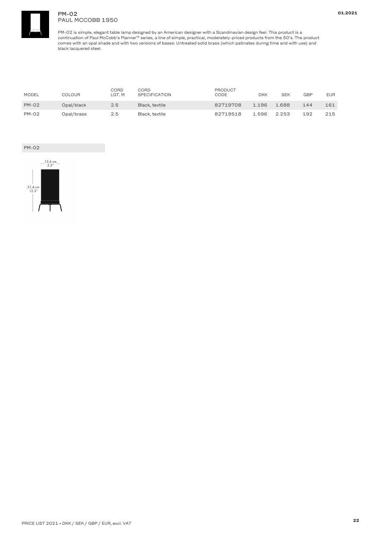

### PM-02 PAUL MCCOBB 1950

PM-02 is simple, elegant table lamp designed by an American designer with <sup>a</sup> Scandinavian design feel. This product is <sup>a</sup> continuation of Paul McCobb's Planner™ series, <sup>a</sup> line of simple, practical, moderately-priced products from the 50's. The product comes with an opal shade and with two versions of bases: Untreated solid brass (which patinates during time and with use) and black lacquered steel.

| <b>MODEL</b> | COLOUR     | CORD<br>LGT. M | CORD<br><b>SPECIFICATION</b> | PRODUCT<br>CODE | <b>DKK</b> | <b>SEK</b> | GBP | <b>EUR</b> |
|--------------|------------|----------------|------------------------------|-----------------|------------|------------|-----|------------|
| <b>PM-02</b> | Opal/black | $2.5^{\circ}$  | Black, textile               | 82719708        | 1.196      | 1.688      | 144 | 161        |
| <b>PM-02</b> | Opal/brass | 2.5            | Black, textile               | 82719518        | 1.596      | 2.253      | 192 | 215        |

### PM-02